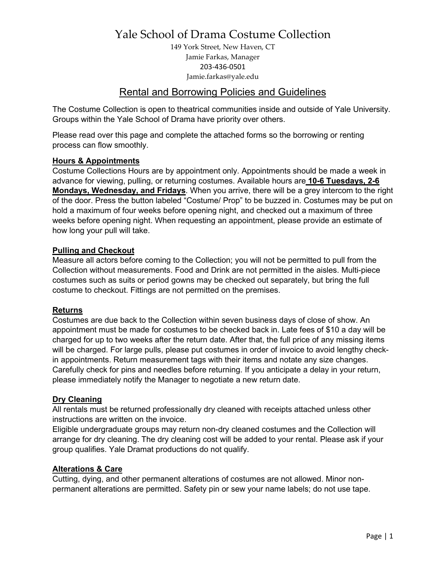149 York Street, New Haven, CT Jamie Farkas, Manager 203-436-0501 Jamie.farkas@yale.edu

### Rental and Borrowing Policies and Guidelines

The Costume Collection is open to theatrical communities inside and outside of Yale University. Groups within the Yale School of Drama have priority over others.

Please read over this page and complete the attached forms so the borrowing or renting process can flow smoothly.

#### **Hours & Appointments**

Costume Collections Hours are by appointment only. Appointments should be made a week in advance for viewing, pulling, or returning costumes. Available hours are **10-6 Tuesdays, 2-6 Mondays, Wednesday, and Fridays**. When you arrive, there will be a grey intercom to the right of the door. Press the button labeled "Costume/ Prop" to be buzzed in. Costumes may be put on hold a maximum of four weeks before opening night, and checked out a maximum of three weeks before opening night. When requesting an appointment, please provide an estimate of how long your pull will take.

#### **Pulling and Checkout**

Measure all actors before coming to the Collection; you will not be permitted to pull from the Collection without measurements. Food and Drink are not permitted in the aisles. Multi-piece costumes such as suits or period gowns may be checked out separately, but bring the full costume to checkout. Fittings are not permitted on the premises.

#### **Returns**

Costumes are due back to the Collection within seven business days of close of show. An appointment must be made for costumes to be checked back in. Late fees of \$10 a day will be charged for up to two weeks after the return date. After that, the full price of any missing items will be charged. For large pulls, please put costumes in order of invoice to avoid lengthy checkin appointments. Return measurement tags with their items and notate any size changes. Carefully check for pins and needles before returning. If you anticipate a delay in your return, please immediately notify the Manager to negotiate a new return date.

#### **Dry Cleaning**

All rentals must be returned professionally dry cleaned with receipts attached unless other instructions are written on the invoice.

Eligible undergraduate groups may return non-dry cleaned costumes and the Collection will arrange for dry cleaning. The dry cleaning cost will be added to your rental. Please ask if your group qualifies. Yale Dramat productions do not qualify.

#### **Alterations & Care**

Cutting, dying, and other permanent alterations of costumes are not allowed. Minor nonpermanent alterations are permitted. Safety pin or sew your name labels; do not use tape.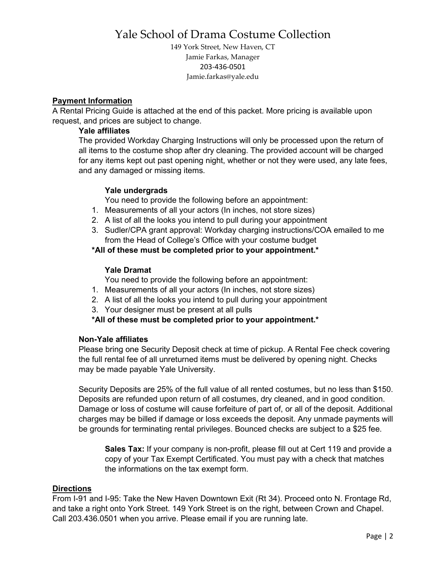149 York Street, New Haven, CT Jamie Farkas, Manager 203-436-0501 Jamie.farkas@yale.edu

#### **Payment Information**

A Rental Pricing Guide is attached at the end of this packet. More pricing is available upon request, and prices are subject to change.

#### **Yale affiliates**

The provided Workday Charging Instructions will only be processed upon the return of all items to the costume shop after dry cleaning. The provided account will be charged for any items kept out past opening night, whether or not they were used, any late fees, and any damaged or missing items.

#### **Yale undergrads**

You need to provide the following before an appointment:

- 1. Measurements of all your actors (In inches, not store sizes)
- 2. A list of all the looks you intend to pull during your appointment
- 3. Sudler/CPA grant approval: Workday charging instructions/COA emailed to me from the Head of College's Office with your costume budget

#### **\*All of these must be completed prior to your appointment.\***

#### **Yale Dramat**

You need to provide the following before an appointment:

- 1. Measurements of all your actors (In inches, not store sizes)
- 2. A list of all the looks you intend to pull during your appointment
- 3. Your designer must be present at all pulls

#### **\*All of these must be completed prior to your appointment.\***

#### **Non-Yale affiliates**

Please bring one Security Deposit check at time of pickup. A Rental Fee check covering the full rental fee of all unreturned items must be delivered by opening night. Checks may be made payable Yale University.

Security Deposits are 25% of the full value of all rented costumes, but no less than \$150. Deposits are refunded upon return of all costumes, dry cleaned, and in good condition. Damage or loss of costume will cause forfeiture of part of, or all of the deposit. Additional charges may be billed if damage or loss exceeds the deposit. Any unmade payments will be grounds for terminating rental privileges. Bounced checks are subject to a \$25 fee.

**Sales Tax:** If your company is non-profit, please fill out at Cert 119 and provide a copy of your Tax Exempt Certificated. You must pay with a check that matches the informations on the tax exempt form.

#### **Directions**

From I-91 and I-95: Take the New Haven Downtown Exit (Rt 34). Proceed onto N. Frontage Rd, and take a right onto York Street. 149 York Street is on the right, between Crown and Chapel. Call 203.436.0501 when you arrive. Please email if you are running late.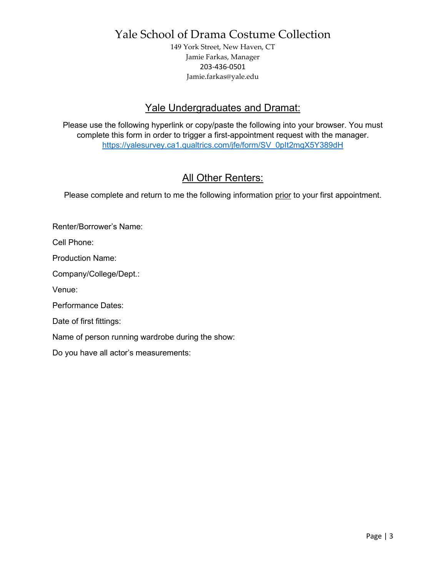149 York Street, New Haven, CT Jamie Farkas, Manager 203-436-0501 Jamie.farkas@yale.edu

### Yale Undergraduates and Dramat:

Please use the following hyperlink or copy/paste the following into your browser. You must complete this form in order to trigger a first-appointment request with the manager. [https://yalesurvey.ca1.qualtrics.com/jfe/form/SV\\_0pIt2mgX5Y389dH](https://yalesurvey.ca1.qualtrics.com/jfe/form/SV_0pIt2mgX5Y389dH)

## **All Other Renters:**

Please complete and return to me the following information prior to your first appointment.

Renter/Borrower's Name:

Cell Phone:

Production Name:

Company/College/Dept.:

Venue:

Performance Dates:

Date of first fittings:

Name of person running wardrobe during the show:

Do you have all actor's measurements: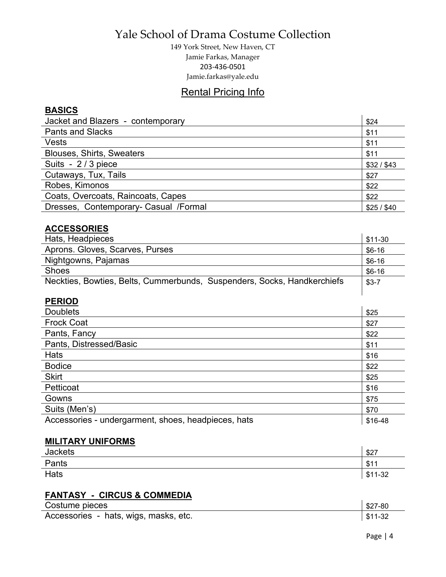149 York Street, New Haven, CT Jamie Farkas, Manager 203-436-0501 Jamie.farkas@yale.edu

### Rental Pricing Info

### **BASICS**

| Jacket and Blazers - contemporary      | \$24      |
|----------------------------------------|-----------|
| <b>Pants and Slacks</b>                | \$11      |
| <b>Vests</b>                           | \$11      |
| <b>Blouses, Shirts, Sweaters</b>       | \$11      |
| Suits - 2/3 piece                      | \$32/\$43 |
| Cutaways, Tux, Tails                   | \$27      |
| Robes, Kimonos                         | \$22      |
| Coats, Overcoats, Raincoats, Capes     | \$22      |
| Dresses, Contemporary- Casual / Formal | \$25/\$40 |

### **ACCESSORIES**

| Hats, Headpieces                                                        | $$11-30$ |
|-------------------------------------------------------------------------|----------|
| Aprons. Gloves, Scarves, Purses                                         | $$6-16$  |
| Nightgowns, Pajamas                                                     | $$6-16$  |
| <b>Shoes</b>                                                            | $$6-16$  |
| Neckties, Bowties, Belts, Cummerbunds, Suspenders, Socks, Handkerchiefs | $$3-7$   |
|                                                                         |          |

### **PERIOD**

| <b>Doublets</b>                                     | \$25    |
|-----------------------------------------------------|---------|
| <b>Frock Coat</b>                                   | \$27    |
| Pants, Fancy                                        | \$22    |
| Pants, Distressed/Basic                             | \$11    |
| Hats                                                | \$16    |
| <b>Bodice</b>                                       | \$22    |
| <b>Skirt</b>                                        | \$25    |
| Petticoat                                           | \$16    |
| Gowns                                               | \$75    |
| Suits (Men's)                                       | \$70    |
| Accessories - undergarment, shoes, headpieces, hats | \$16-48 |

#### **MILITARY UNIFORMS**

| <b>Jackets</b> | \$27     |
|----------------|----------|
| Pants          | \$11     |
| <b>Hats</b>    | $$11-32$ |

### **FANTASY - CIRCUS & COMMEDIA**

| Costume pieces                        | $$27-80$ |
|---------------------------------------|----------|
| Accessories - hats, wigs, masks, etc. | $$11-32$ |